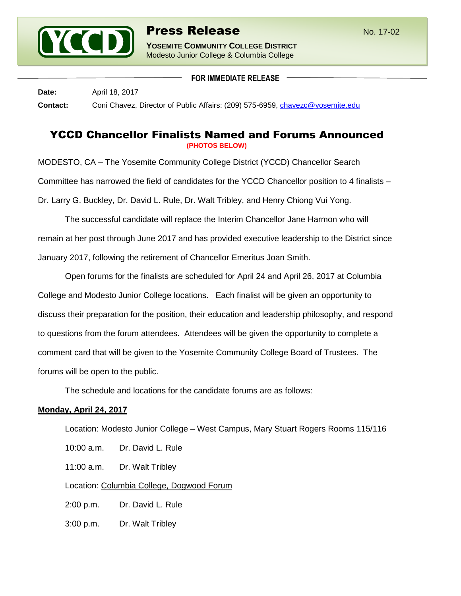

**YOSEMITE COMMUNITY COLLEGE DISTRICT** Modesto Junior College & Columbia College

**FOR IMMEDIATE RELEASE**

**Date:** April 18, 2017 **Contact:** Coni Chavez, Director of Public Affairs: (209) 575-6959, [chavezc@yosemite.edu](mailto:chavezc@yosemite.edu)

## YCCD Chancellor Finalists Named and Forums Announced **(PHOTOS BELOW)**

MODESTO, CA – The Yosemite Community College District (YCCD) Chancellor Search Committee has narrowed the field of candidates for the YCCD Chancellor position to 4 finalists – Dr. Larry G. Buckley, Dr. David L. Rule, Dr. Walt Tribley, and Henry Chiong Vui Yong.

The successful candidate will replace the Interim Chancellor Jane Harmon who will remain at her post through June 2017 and has provided executive leadership to the District since January 2017, following the retirement of Chancellor Emeritus Joan Smith.

Open forums for the finalists are scheduled for April 24 and April 26, 2017 at Columbia College and Modesto Junior College locations. Each finalist will be given an opportunity to discuss their preparation for the position, their education and leadership philosophy, and respond to questions from the forum attendees. Attendees will be given the opportunity to complete a comment card that will be given to the Yosemite Community College Board of Trustees. The forums will be open to the public.

The schedule and locations for the candidate forums are as follows:

## **Monday, April 24, 2017**

| Location: Modesto Junior College – West Campus, Mary Stuart Rogers Rooms 115/116 |                   |
|----------------------------------------------------------------------------------|-------------------|
| $10:00$ a.m.                                                                     | Dr. David L. Rule |
| 11:00 a.m.                                                                       | Dr. Walt Tribley  |
| Location: Columbia College, Dogwood Forum                                        |                   |
| $2:00$ p.m.                                                                      | Dr. David L. Rule |
| $3:00$ p.m.                                                                      | Dr. Walt Tribley  |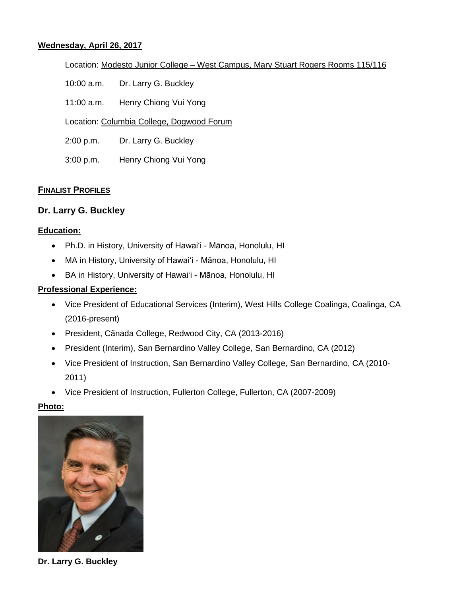#### **Wednesday, April 26, 2017**

Location: Modesto Junior College – West Campus, Mary Stuart Rogers Rooms 115/116

- 10:00 a.m. Dr. Larry G. Buckley
- 11:00 a.m. Henry Chiong Vui Yong
- Location: Columbia College, Dogwood Forum
- 2:00 p.m. Dr. Larry G. Buckley
- 3:00 p.m. Henry Chiong Vui Yong

#### **FINALIST PROFILES**

## **Dr. Larry G. Buckley**

#### **Education:**

- Ph.D. in History, University of Hawai'i Mānoa, Honolulu, HI
- MA in History, University of Hawai'i Mānoa, Honolulu, HI
- BA in History, University of Hawai'i Mānoa, Honolulu, HI

#### **Professional Experience:**

- Vice President of Educational Services (Interim), West Hills College Coalinga, Coalinga, CA (2016-present)
- President, Cãnada College, Redwood City, CA (2013-2016)
- President (Interim), San Bernardino Valley College, San Bernardino, CA (2012)
- Vice President of Instruction, San Bernardino Valley College, San Bernardino, CA (2010- 2011)
- Vice President of Instruction, Fullerton College, Fullerton, CA (2007-2009)

#### **Photo:**



**Dr. Larry G. Buckley**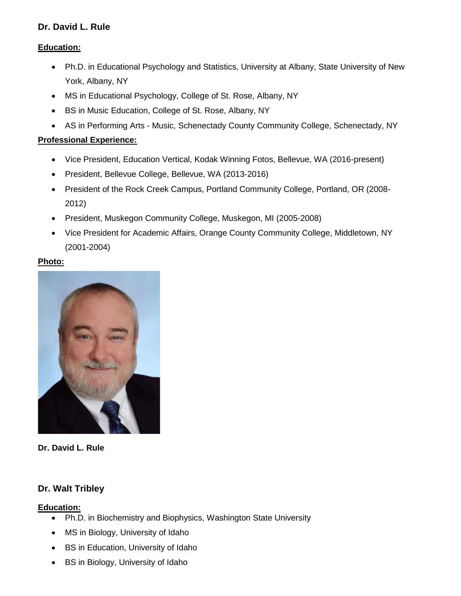## **Dr. David L. Rule**

## **Education:**

- Ph.D. in Educational Psychology and Statistics, University at Albany, State University of New York, Albany, NY
- MS in Educational Psychology, College of St. Rose, Albany, NY
- BS in Music Education, College of St. Rose, Albany, NY
- AS in Performing Arts Music, Schenectady County Community College, Schenectady, NY

## **Professional Experience:**

- Vice President, Education Vertical, Kodak Winning Fotos, Bellevue, WA (2016-present)
- President, Bellevue College, Bellevue, WA (2013-2016)
- President of the Rock Creek Campus, Portland Community College, Portland, OR (2008- 2012)
- President, Muskegon Community College, Muskegon, MI (2005-2008)
- Vice President for Academic Affairs, Orange County Community College, Middletown, NY (2001-2004)

## **Photo:**



#### **Dr. David L. Rule**

## **Dr. Walt Tribley**

## **Education:**

- Ph.D. in Biochemistry and Biophysics, Washington State University
- MS in Biology, University of Idaho
- BS in Education, University of Idaho
- BS in Biology, University of Idaho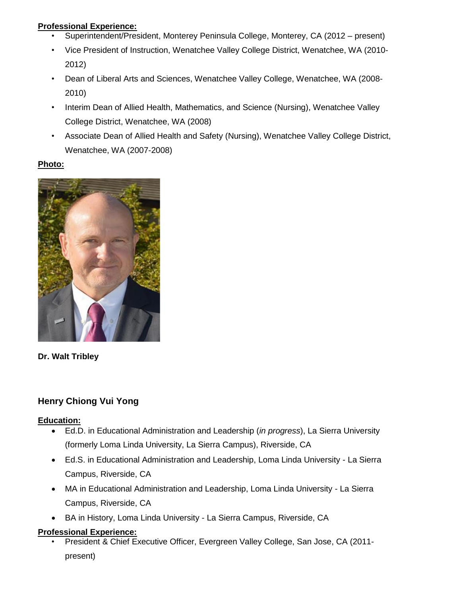## **Professional Experience:**

- Superintendent/President, Monterey Peninsula College, Monterey, CA (2012 present)
- Vice President of Instruction, Wenatchee Valley College District, Wenatchee, WA (2010- 2012)
- Dean of Liberal Arts and Sciences, Wenatchee Valley College, Wenatchee, WA (2008- 2010)
- Interim Dean of Allied Health, Mathematics, and Science (Nursing), Wenatchee Valley College District, Wenatchee, WA (2008)
- Associate Dean of Allied Health and Safety (Nursing), Wenatchee Valley College District, Wenatchee, WA (2007-2008)

## **Photo:**



## **Dr. Walt Tribley**

# **Henry Chiong Vui Yong**

## **Education:**

- Ed.D. in Educational Administration and Leadership (*in progress*), La Sierra University (formerly Loma Linda University, La Sierra Campus), Riverside, CA
- Ed.S. in Educational Administration and Leadership, Loma Linda University La Sierra Campus, Riverside, CA
- MA in Educational Administration and Leadership, Loma Linda University La Sierra Campus, Riverside, CA
- BA in History, Loma Linda University La Sierra Campus, Riverside, CA

## **Professional Experience:**

• President & Chief Executive Officer, Evergreen Valley College, San Jose, CA (2011 present)